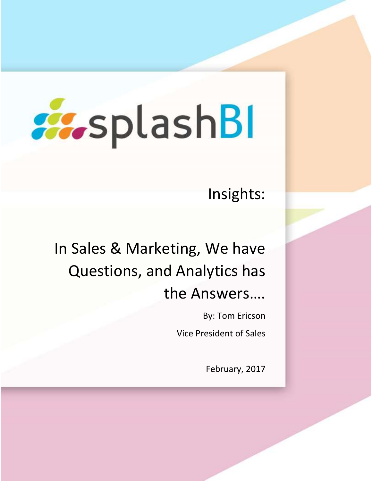# **W** splashBI

Insights:

# In Sales & Marketing, We have Questions, and Analytics has the Answers….

By: Tom Ericson Vice President of Sales

February, 2017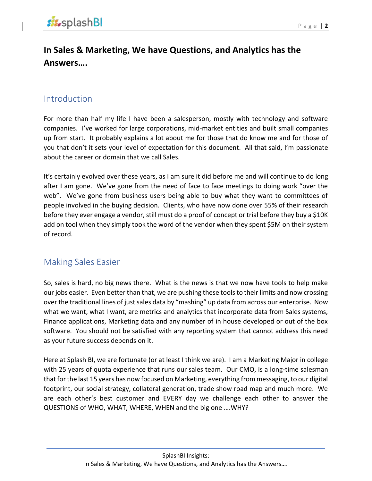# **In Sales & Marketing, We have Questions, and Analytics has the Answers….**

#### Introduction

For more than half my life I have been a salesperson, mostly with technology and software companies. I've worked for large corporations, mid-market entities and built small companies up from start. It probably explains a lot about me for those that do know me and for those of you that don't it sets your level of expectation for this document. All that said, I'm passionate about the career or domain that we call Sales.

It's certainly evolved over these years, as I am sure it did before me and will continue to do long after I am gone. We've gone from the need of face to face meetings to doing work "over the web". We've gone from business users being able to buy what they want to committees of people involved in the buying decision. Clients, who have now done over 55% of their research before they ever engage a vendor, still must do a proof of concept or trial before they buy a \$10K add on tool when they simply took the word of the vendor when they spent \$5M on their system of record.

#### Making Sales Easier

So, sales is hard, no big news there. What is the news is that we now have tools to help make our jobs easier. Even better than that, we are pushing these tools to their limits and now crossing over the traditional lines of just sales data by "mashing" up data from across our enterprise. Now what we want, what I want, are metrics and analytics that incorporate data from Sales systems, Finance applications, Marketing data and any number of in house developed or out of the box software. You should not be satisfied with any reporting system that cannot address this need as your future success depends on it.

Here at Splash BI, we are fortunate (or at least I think we are). I am a Marketing Major in college with 25 years of quota experience that runs our sales team. Our CMO, is a long-time salesman that for the last 15 years has now focused on Marketing, everything from messaging, to our digital footprint, our social strategy, collateral generation, trade show road map and much more. We are each other's best customer and EVERY day we challenge each other to answer the QUESTIONS of WHO, WHAT, WHERE, WHEN and the big one ….WHY?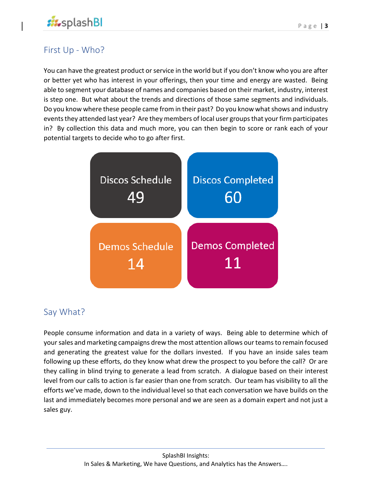

### First Up - Who?

You can have the greatest product or service in the world but if you don't know who you are after or better yet who has interest in your offerings, then your time and energy are wasted. Being able to segment your database of names and companies based on their market, industry, interest is step one. But what about the trends and directions of those same segments and individuals. Do you know where these people came from in their past? Do you know what shows and industry events they attended last year? Are they members of local user groups that your firm participates in? By collection this data and much more, you can then begin to score or rank each of your potential targets to decide who to go after first.



### Say What?

People consume information and data in a variety of ways. Being able to determine which of your sales and marketing campaigns drew the most attention allows our teams to remain focused and generating the greatest value for the dollars invested. If you have an inside sales team following up these efforts, do they know what drew the prospect to you before the call? Or are they calling in blind trying to generate a lead from scratch. A dialogue based on their interest level from our calls to action is far easier than one from scratch. Our team has visibility to all the efforts we've made, down to the individual level so that each conversation we have builds on the last and immediately becomes more personal and we are seen as a domain expert and not just a sales guy.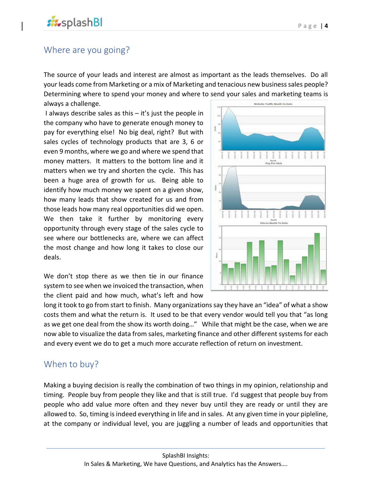## Where are you going?

The source of your leads and interest are almost as important as the leads themselves. Do all your leads come from Marketing or a mix of Marketing and tenacious new business sales people? Determining where to spend your money and where to send your sales and marketing teams is always a challenge. Website Traffic Month To Date

I always describe sales as this  $-$  it's just the people in the company who have to generate enough money to pay for everything else! No big deal, right? But with sales cycles of technology products that are 3, 6 or even 9 months, where we go and where we spend that money matters. It matters to the bottom line and it matters when we try and shorten the cycle. This has been a huge area of growth for us. Being able to identify how much money we spent on a given show, how many leads that show created for us and from those leads how many real opportunities did we open. We then take it further by monitoring every opportunity through every stage of the sales cycle to see where our bottlenecks are, where we can affect the most change and how long it takes to close our deals.

We don't stop there as we then tie in our finance system to see when we invoiced the transaction, when the client paid and how much, what's left and how



long it took to go from start to finish. Many organizations say they have an "idea" of what a show costs them and what the return is. It used to be that every vendor would tell you that "as long as we get one deal from the show its worth doing…" While that might be the case, when we are now able to visualize the data from sales, marketing finance and other different systems for each and every event we do to get a much more accurate reflection of return on investment.

### When to buy?

Making a buying decision is really the combination of two things in my opinion, relationship and timing. People buy from people they like and that is still true. I'd suggest that people buy from people who add value more often and they never buy until they are ready or until they are allowed to. So, timing is indeed everything in life and in sales. At any given time in your pipleline, at the company or individual level, you are juggling a number of leads and opportunities that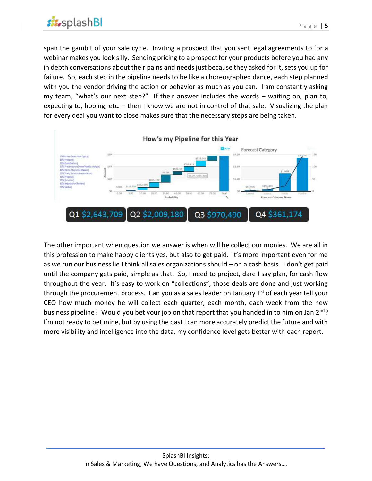

span the gambit of your sale cycle. Inviting a prospect that you sent legal agreements to for a webinar makes you look silly. Sending pricing to a prospect for your products before you had any in depth conversations about their pains and needs just because they asked for it, sets you up for failure. So, each step in the pipeline needs to be like a choreographed dance, each step planned with you the vendor driving the action or behavior as much as you can. I am constantly asking my team, "what's our next step?" If their answer includes the words – waiting on, plan to, expecting to, hoping, etc. – then I know we are not in control of that sale. Visualizing the plan for every deal you want to close makes sure that the necessary steps are being taken.



The other important when question we answer is when will be collect our monies. We are all in this profession to make happy clients yes, but also to get paid. It's more important even for me as we run our business lie I think all sales organizations should – on a cash basis. I don't get paid until the company gets paid, simple as that. So, I need to project, dare I say plan, for cash flow throughout the year. It's easy to work on "collections", those deals are done and just working through the procurement process. Can you as a sales leader on January 1st of each year tell your CEO how much money he will collect each quarter, each month, each week from the new business pipeline? Would you bet your job on that report that you handed in to him on Jan  $2^{nd}$ ? I'm not ready to bet mine, but by using the past I can more accurately predict the future and with more visibility and intelligence into the data, my confidence level gets better with each report.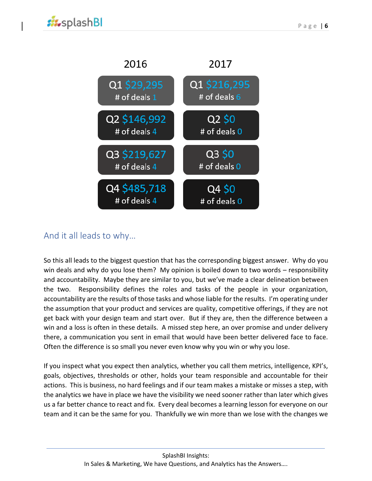

#### And it all leads to why…

So this all leads to the biggest question that has the corresponding biggest answer. Why do you win deals and why do you lose them? My opinion is boiled down to two words – responsibility and accountability. Maybe they are similar to you, but we've made a clear delineation between the two. Responsibility defines the roles and tasks of the people in your organization, accountability are the results of those tasks and whose liable for the results. I'm operating under the assumption that your product and services are quality, competitive offerings, if they are not get back with your design team and start over. But if they are, then the difference between a win and a loss is often in these details. A missed step here, an over promise and under delivery there, a communication you sent in email that would have been better delivered face to face. Often the difference is so small you never even know why you win or why you lose.

If you inspect what you expect then analytics, whether you call them metrics, intelligence, KPI's, goals, objectives, thresholds or other, holds your team responsible and accountable for their actions. This is business, no hard feelings and if our team makes a mistake or misses a step, with the analytics we have in place we have the visibility we need sooner rather than later which gives us a far better chance to react and fix. Every deal becomes a learning lesson for everyone on our team and it can be the same for you. Thankfully we win more than we lose with the changes we